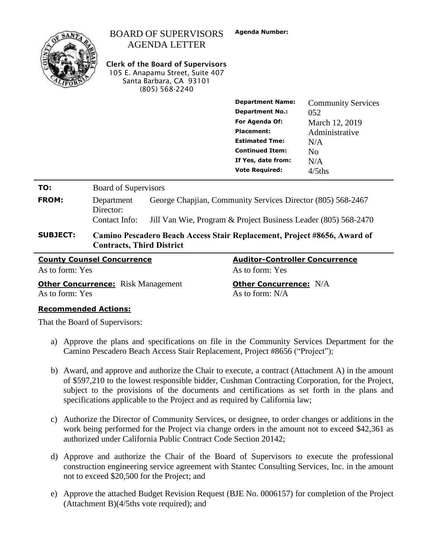| <b>County Counsel Concurrence</b> |                                                                                                              |                                                                                                                                                     | <b>Auditor-Controller Concurrence</b>                                                  |                                                |  |
|-----------------------------------|--------------------------------------------------------------------------------------------------------------|-----------------------------------------------------------------------------------------------------------------------------------------------------|----------------------------------------------------------------------------------------|------------------------------------------------|--|
| <b>SUBJECT:</b>                   | Camino Pescadero Beach Access Stair Replacement, Project #8656, Award of<br><b>Contracts, Third District</b> |                                                                                                                                                     |                                                                                        |                                                |  |
|                                   | Contact Info:                                                                                                | Jill Van Wie, Program & Project Business Leader (805) 568-2470                                                                                      |                                                                                        |                                                |  |
| <b>FROM:</b>                      | Department<br>Director:                                                                                      | George Chapjian, Community Services Director (805) 568-2467                                                                                         |                                                                                        |                                                |  |
| TO:                               | <b>Board of Supervisors</b>                                                                                  |                                                                                                                                                     |                                                                                        |                                                |  |
|                                   |                                                                                                              |                                                                                                                                                     | <b>Continued Item:</b><br>If Yes, date from:<br><b>Vote Required:</b>                  | N <sub>0</sub><br>N/A<br>$4/5$ ths             |  |
|                                   |                                                                                                              |                                                                                                                                                     | <b>Department No.:</b><br>For Agenda Of:<br><b>Placement:</b><br><b>Estimated Tme:</b> | 052<br>March 12, 2019<br>Administrative<br>N/A |  |
|                                   |                                                                                                              |                                                                                                                                                     | <b>Department Name:</b>                                                                | <b>Community Services</b>                      |  |
|                                   |                                                                                                              | <b>AGENDA LETTER</b><br><b>Clerk of the Board of Supervisors</b><br>105 E. Anapamu Street, Suite 407<br>Santa Barbara, CA 93101<br>$(805)$ 568-2240 |                                                                                        |                                                |  |
|                                   |                                                                                                              | <b>BOARD OF SUPERVISORS</b>                                                                                                                         | <b>Agenda Number:</b>                                                                  |                                                |  |

**Other Concurrence:** Risk Management **Other Concurrence:** N/A As to form: Yes As to form: N/A

As to form: Yes As to form: Yes As to form: Yes

#### **Recommended Actions:**

That the Board of Supervisors:

- a) Approve the plans and specifications on file in the Community Services Department for the Camino Pescadero Beach Access Stair Replacement, Project #8656 ("Project");
- b) Award, and approve and authorize the Chair to execute, a contract (Attachment A) in the amount of \$597,210 to the lowest responsible bidder, Cushman Contracting Corporation, for the Project, subject to the provisions of the documents and certifications as set forth in the plans and specifications applicable to the Project and as required by California law;
- c) Authorize the Director of Community Services, or designee, to order changes or additions in the work being performed for the Project via change orders in the amount not to exceed \$42,361 as authorized under California Public Contract Code Section 20142;
- d) Approve and authorize the Chair of the Board of Supervisors to execute the professional construction engineering service agreement with Stantec Consulting Services, Inc. in the amount not to exceed \$20,500 for the Project; and
- e) Approve the attached Budget Revision Request (BJE No. 0006157) for completion of the Project (Attachment B)(4/5ths vote required); and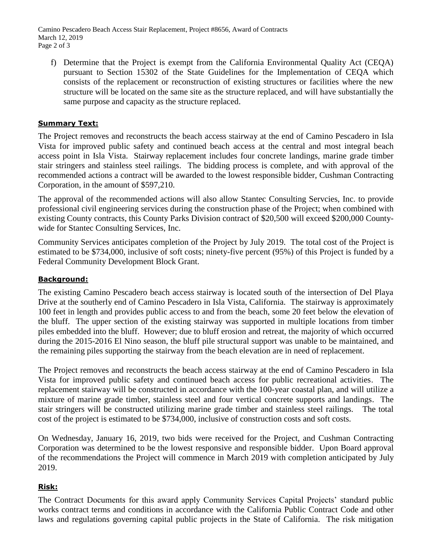Camino Pescadero Beach Access Stair Replacement, Project #8656, Award of Contracts March 12, 2019 Page 2 of 3

f) Determine that the Project is exempt from the California Environmental Quality Act (CEQA) pursuant to Section 15302 of the State Guidelines for the Implementation of CEQA which consists of the replacement or reconstruction of existing structures or facilities where the new structure will be located on the same site as the structure replaced, and will have substantially the same purpose and capacity as the structure replaced.

# **Summary Text:**

The Project removes and reconstructs the beach access stairway at the end of Camino Pescadero in Isla Vista for improved public safety and continued beach access at the central and most integral beach access point in Isla Vista. Stairway replacement includes four concrete landings, marine grade timber stair stringers and stainless steel railings. The bidding process is complete, and with approval of the recommended actions a contract will be awarded to the lowest responsible bidder, Cushman Contracting Corporation, in the amount of \$597,210.

The approval of the recommended actions will also allow Stantec Consulting Servcies, Inc. to provide professional civil engineering services during the construction phase of the Project; when combined with existing County contracts, this County Parks Division contract of \$20,500 will exceed \$200,000 Countywide for Stantec Consulting Services, Inc.

Community Services anticipates completion of the Project by July 2019. The total cost of the Project is estimated to be \$734,000, inclusive of soft costs; ninety-five percent (95%) of this Project is funded by a Federal Community Development Block Grant.

# **Background:**

The existing Camino Pescadero beach access stairway is located south of the intersection of Del Playa Drive at the southerly end of Camino Pescadero in Isla Vista, California. The stairway is approximately 100 feet in length and provides public access to and from the beach, some 20 feet below the elevation of the bluff. The upper section of the existing stairway was supported in multiple locations from timber piles embedded into the bluff. However; due to bluff erosion and retreat, the majority of which occurred during the 2015-2016 El Nino season, the bluff pile structural support was unable to be maintained, and the remaining piles supporting the stairway from the beach elevation are in need of replacement.

The Project removes and reconstructs the beach access stairway at the end of Camino Pescadero in Isla Vista for improved public safety and continued beach access for public recreational activities. The replacement stairway will be constructed in accordance with the 100-year coastal plan, and will utilize a mixture of marine grade timber, stainless steel and four vertical concrete supports and landings. The stair stringers will be constructed utilizing marine grade timber and stainless steel railings. The total cost of the project is estimated to be \$734,000, inclusive of construction costs and soft costs.

On Wednesday, January 16, 2019, two bids were received for the Project, and Cushman Contracting Corporation was determined to be the lowest responsive and responsible bidder. Upon Board approval of the recommendations the Project will commence in March 2019 with completion anticipated by July 2019.

# **Risk:**

The Contract Documents for this award apply Community Services Capital Projects' standard public works contract terms and conditions in accordance with the California Public Contract Code and other laws and regulations governing capital public projects in the State of California. The risk mitigation